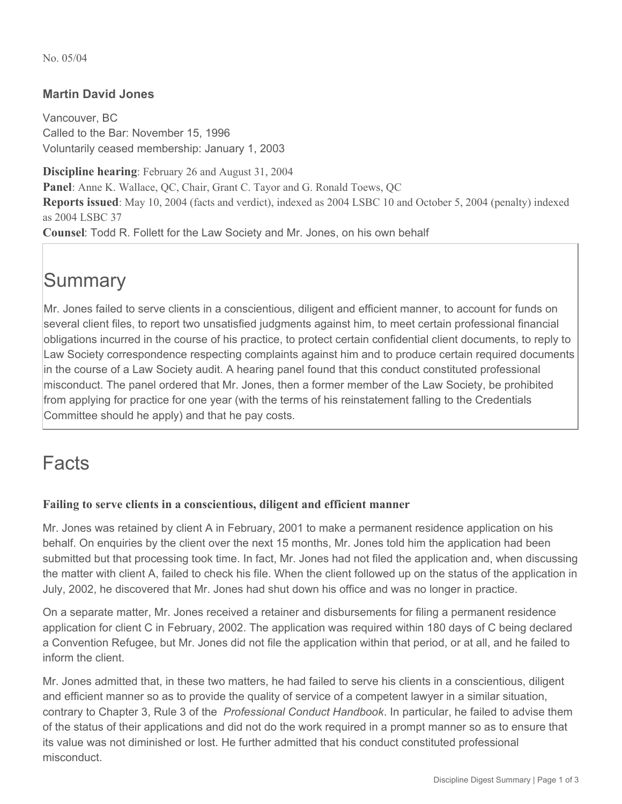No. 05/04

# **Martin David Jones**

Vancouver, BC Called to the Bar: November 15, 1996 Voluntarily ceased membership: January 1, 2003

**Discipline hearing**: February 26 and August 31, 2004 **Panel**: Anne K. Wallace, QC, Chair, Grant C. Tayor and G. Ronald Toews, QC **Reports issued**: May 10, 2004 (facts and verdict), indexed as 2004 LSBC 10 and October 5, 2004 (penalty) indexed as 2004 LSBC 37 **Counsel**: Todd R. Follett for the Law Society and Mr. Jones, on his own behalf

# **Summary**

Mr. Jones failed to serve clients in a conscientious, diligent and efficient manner, to account for funds on several client files, to report two unsatisfied judgments against him, to meet certain professional financial obligations incurred in the course of his practice, to protect certain confidential client documents, to reply to Law Society correspondence respecting complaints against him and to produce certain required documents in the course of a Law Society audit. A hearing panel found that this conduct constituted professional misconduct. The panel ordered that Mr. Jones, then a former member of the Law Society, be prohibited from applying for practice for one year (with the terms of his reinstatement falling to the Credentials Committee should he apply) and that he pay costs.

# Facts

# **Failing to serve clients in a conscientious, diligent and efficient manner**

Mr. Jones was retained by client A in February, 2001 to make a permanent residence application on his behalf. On enquiries by the client over the next 15 months, Mr. Jones told him the application had been submitted but that processing took time. In fact, Mr. Jones had not filed the application and, when discussing the matter with client A, failed to check his file. When the client followed up on the status of the application in July, 2002, he discovered that Mr. Jones had shut down his office and was no longer in practice.

On a separate matter, Mr. Jones received a retainer and disbursements for filing a permanent residence application for client C in February, 2002. The application was required within 180 days of C being declared a Convention Refugee, but Mr. Jones did not file the application within that period, or at all, and he failed to inform the client.

Mr. Jones admitted that, in these two matters, he had failed to serve his clients in a conscientious, diligent and efficient manner so as to provide the quality of service of a competent lawyer in a similar situation, contrary to Chapter 3, Rule 3 of the *Professional Conduct Handbook*. In particular, he failed to advise them of the status of their applications and did not do the work required in a prompt manner so as to ensure that its value was not diminished or lost. He further admitted that his conduct constituted professional misconduct.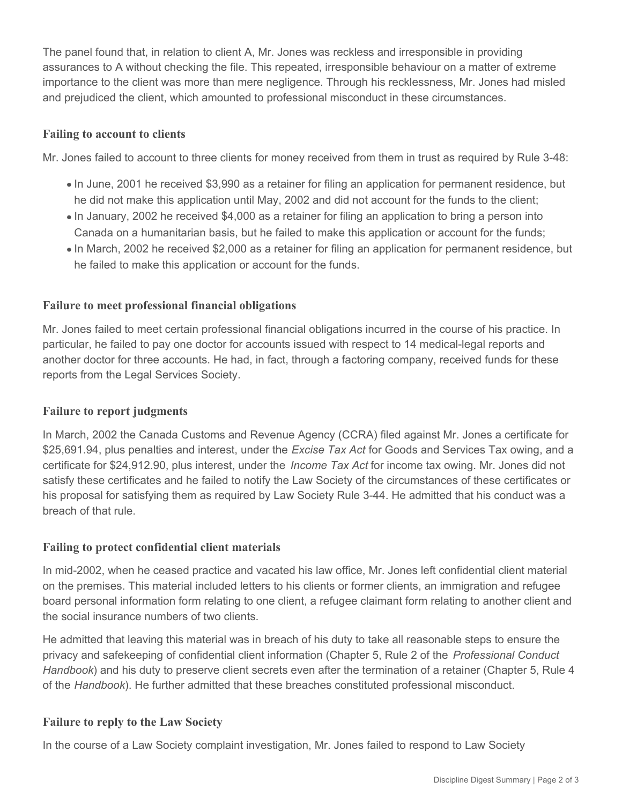The panel found that, in relation to client A, Mr. Jones was reckless and irresponsible in providing assurances to A without checking the file. This repeated, irresponsible behaviour on a matter of extreme importance to the client was more than mere negligence. Through his recklessness, Mr. Jones had misled and prejudiced the client, which amounted to professional misconduct in these circumstances.

# **Failing to account to clients**

Mr. Jones failed to account to three clients for money received from them in trust as required by Rule 3-48:

- In June, 2001 he received \$3,990 as a retainer for filing an application for permanent residence, but he did not make this application until May, 2002 and did not account for the funds to the client;
- In January, 2002 he received \$4,000 as a retainer for filing an application to bring a person into Canada on a humanitarian basis, but he failed to make this application or account for the funds;
- In March, 2002 he received \$2,000 as a retainer for filing an application for permanent residence, but he failed to make this application or account for the funds.

#### **Failure to meet professional financial obligations**

Mr. Jones failed to meet certain professional financial obligations incurred in the course of his practice. In particular, he failed to pay one doctor for accounts issued with respect to 14 medical-legal reports and another doctor for three accounts. He had, in fact, through a factoring company, received funds for these reports from the Legal Services Society.

#### **Failure to report judgments**

In March, 2002 the Canada Customs and Revenue Agency (CCRA) filed against Mr. Jones a certificate for \$25,691.94, plus penalties and interest, under the *Excise Tax Act* for Goods and Services Tax owing, and a certificate for \$24,912.90, plus interest, under the *Income Tax Act* for income tax owing. Mr. Jones did not satisfy these certificates and he failed to notify the Law Society of the circumstances of these certificates or his proposal for satisfying them as required by Law Society Rule 3-44. He admitted that his conduct was a breach of that rule.

#### **Failing to protect confidential client materials**

In mid-2002, when he ceased practice and vacated his law office, Mr. Jones left confidential client material on the premises. This material included letters to his clients or former clients, an immigration and refugee board personal information form relating to one client, a refugee claimant form relating to another client and the social insurance numbers of two clients.

He admitted that leaving this material was in breach of his duty to take all reasonable steps to ensure the privacy and safekeeping of confidential client information (Chapter 5, Rule 2 of the *Professional Conduct Handbook*) and his duty to preserve client secrets even after the termination of a retainer (Chapter 5, Rule 4 of the *Handbook*). He further admitted that these breaches constituted professional misconduct.

# **Failure to reply to the Law Society**

In the course of a Law Society complaint investigation, Mr. Jones failed to respond to Law Society